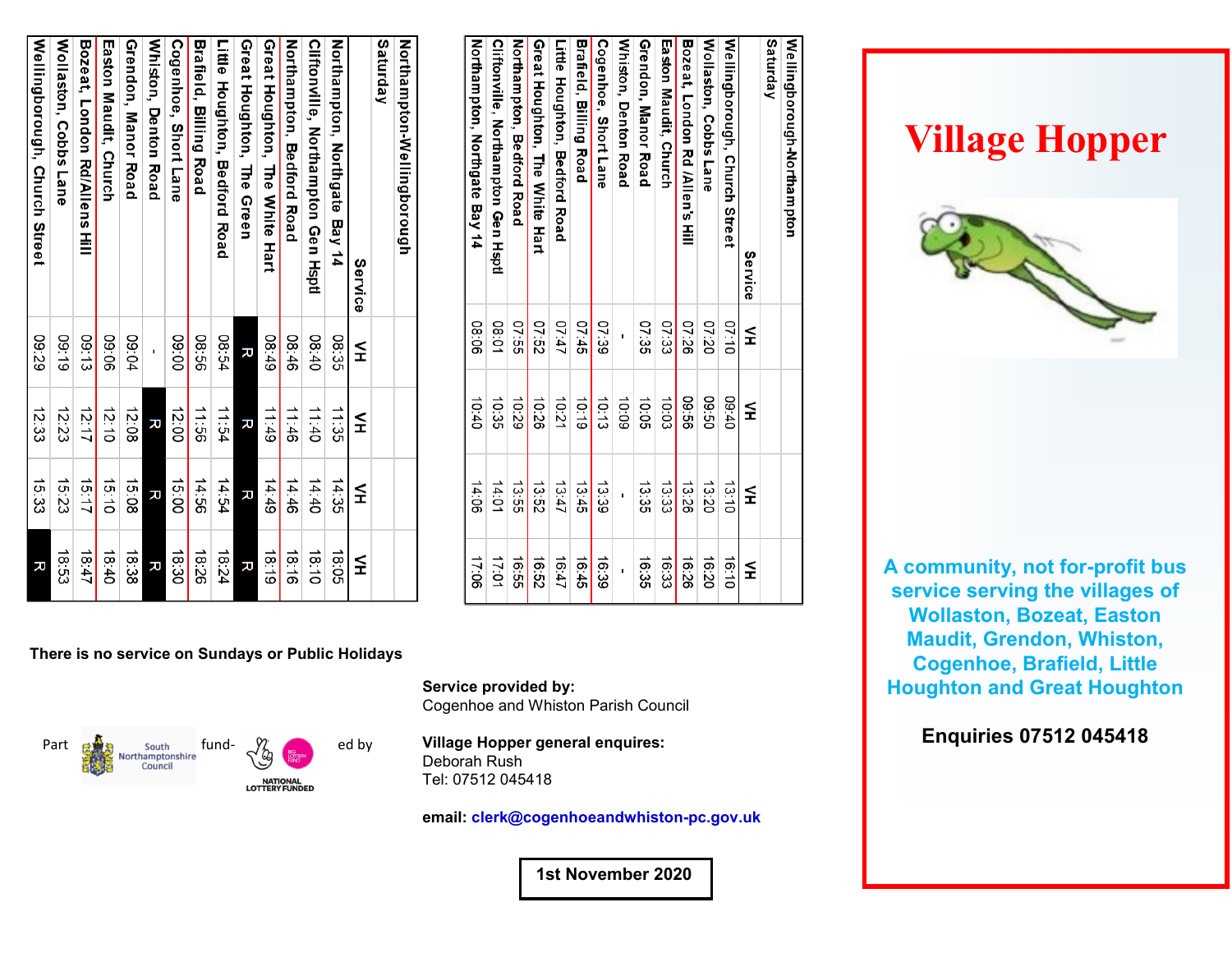| Northampton-Wellingborough         |       |         |       |       |
|------------------------------------|-------|---------|-------|-------|
| Saturday                           |       |         |       |       |
| Service                            | ≨     | $\leq$  | ⋚     | ≨     |
| Northampton, Northgate Bay 14      | 08:35 | 11:35   | 14:35 | 18:05 |
| Cliftonville, Northampton Gen Hypt | 08:40 | 11:40   | 14:40 | 18:10 |
| Northampton, Bedford Road          | 08:46 | 11:46   | 14:46 | 31.81 |
| Great Houghton, The White Hart     | 08:49 | 61:11   | 14:49 | 18:19 |
| Great Houghton, The Green          | ᅎ     | ᅎ       | ᅎ     | ᅎ     |
| Little Houghton, Bedford Road      | 15:54 | 11:54   | 14:54 | 18:24 |
| Brafield, Billing Road             | 99:30 | $-1.56$ | 14:56 | 18.26 |
| Cogenhoe, Short Lane               | 00:60 | 12:00   | 15:00 | 18.30 |
| Whiston, Denton Road               |       | 观       | ᅎ     | ᅎ     |
| Grendon, Manor Road                | 09:04 | 12.08   | 15:08 | 18:38 |
| <b>Easton Margit, Church</b>       | 90:60 | 12:10   | 15:10 | 18:40 |
| Bozeat, London Rd/Allens Hill      | 09:13 | 12:17   | 15:17 | 18:47 |
| Wollaston, Cobbs Lane              | 09:19 | 12:23   | 15.23 | 18.53 |
| Wellingborough, Church Street      | 09:29 | 12:33   | 15.33 | R     |
|                                    |       |         |       |       |

| ≨            | ≨     | ≨     | $\leq$ |
|--------------|-------|-------|--------|
| 07:10        | 04:60 | 13:10 | 16:10  |
| 02:20        | 09:50 | 13:20 | 16:20  |
| 07:26        | 99.60 | 13:26 | 16:26  |
| 07:33        | 10:03 | 13:33 | 16:33  |
| 07:35        | 10:05 | 13:35 | 16:35  |
|              | 60:01 |       |        |
| 07:39        | 10:13 | 13.39 | 16:39  |
| 07:45        | 0.19  | 13:45 | 16:45  |
| 17:10        | 10:21 | 13:47 | 16:47  |
| 79:20        | 10:26 | 13:52 | 16:52  |
| <b>95:55</b> | 0.29  | 13:55 | 16:55  |
| 10:80        | 10:35 | 14:01 | 17:01  |
| 90:80        | 0.40  | 14:06 | 90:21  |
|              |       |       |        |

## **There is no service on Sundays or Public Holidays**



**Village Hopper general enquires:** Deborah Rush Tel: 07512 045418

Cogenhoe and Whiston Parish Council

**Service provided by:**

**email: clerk@cogenhoeandwhiston-pc.gov.uk**

 **1st November 2020**

## **Village Hopper**



**A community, not for-profit bus service serving the villages of Wollaston, Bozeat, Easton Maudit, Grendon, Whiston, Cogenhoe, Brafield, Little Houghton and Great Houghton**

**Enquiries 07512 045418**